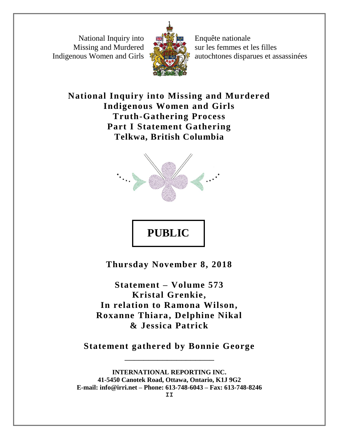National Inquiry into Missing and Murdered Indigenous Women and Girls



Enquête nationale sur les femmes et les filles autochtones disparues et assassinées

**National Inquiry into Missing and Murdered Indigenous Women and Girls Truth-Gathering Process Part I Statement Gathering Telkwa, British Columbia**



## **PUBLIC**

**Thursday November 8, 2018**

**Statement – Volume 573 Kristal Grenkie, In relation to Ramona Wilson, Roxanne Thiara, Delphine Nikal & Jessica Patrick**

**Statement gathered by Bonnie George** \_\_\_\_\_\_\_\_\_\_\_\_\_\_\_\_\_\_\_

**INTERNATIONAL REPORTING INC. 41-5450 Canotek Road, Ottawa, Ontario, K1J 9G2 E-mail: info@irri.net – Phone: 613-748-6043 – Fax: 613-748-8246**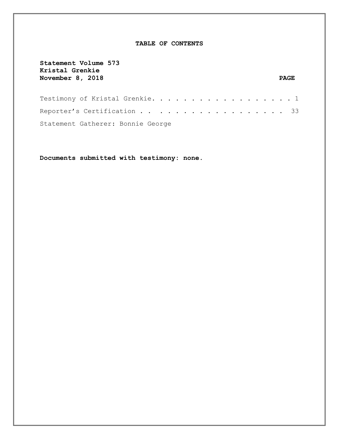## **TABLE OF CONTENTS**

| Statement Volume 573<br>Kristal Grenkie<br>November 8, 2018 | <b>PAGE</b> |  |
|-------------------------------------------------------------|-------------|--|
| Testimony of Kristal Grenkie. 1                             |             |  |
| Reporter's Certification 33                                 |             |  |
| Statement Gatherer: Bonnie George                           |             |  |

**Documents submitted with testimony: none.**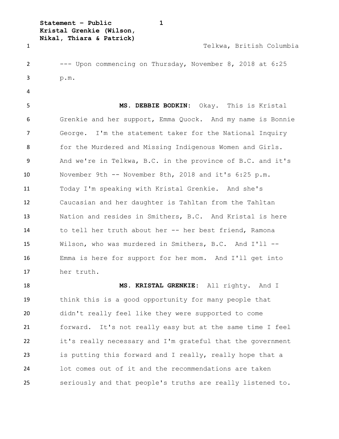```
Statement – Public 1
Kristal Grenkie (Wilson,
```
**Nikal, Thiara & Patrick)**

Telkwa, British Columbia

 --- Upon commencing on Thursday, November 8, 2018 at 6:25 p.m.

 **MS. DEBBIE BODKIN:** Okay. This is Kristal Grenkie and her support, Emma Quock. And my name is Bonnie George. I'm the statement taker for the National Inquiry 8 for the Murdered and Missing Indigenous Women and Girls. And we're in Telkwa, B.C. in the province of B.C. and it's November 9th -- November 8th, 2018 and it's 6:25 p.m. Today I'm speaking with Kristal Grenkie. And she's Caucasian and her daughter is Tahltan from the Tahltan Nation and resides in Smithers, B.C. And Kristal is here to tell her truth about her -- her best friend, Ramona Wilson, who was murdered in Smithers, B.C. And I'll -- Emma is here for support for her mom. And I'll get into her truth.

 **MS. KRISTAL GRENKIE:** All righty. And I think this is a good opportunity for many people that didn't really feel like they were supported to come forward. It's not really easy but at the same time I feel it's really necessary and I'm grateful that the government is putting this forward and I really, really hope that a lot comes out of it and the recommendations are taken seriously and that people's truths are really listened to.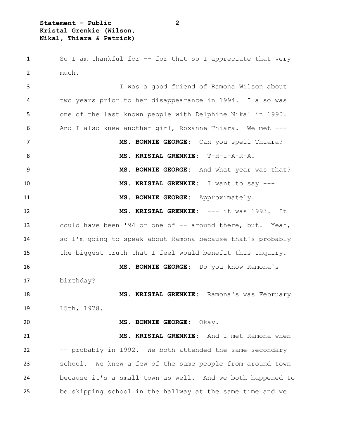**Statement – Public 2 Kristal Grenkie (Wilson, Nikal, Thiara & Patrick)**

 So I am thankful for -- for that so I appreciate that very much.

 I was a good friend of Ramona Wilson about two years prior to her disappearance in 1994. I also was one of the last known people with Delphine Nikal in 1990. And I also knew another girl, Roxanne Thiara. We met --- **MS. BONNIE GEORGE:** Can you spell Thiara? **MS. KRISTAL GRENKIE:** T-H-I-A-R-A. **MS. BONNIE GEORGE:** And what year was that? **MS. KRISTAL GRENKIE:** I want to say --- **MS. BONNIE GEORGE:** Approximately. **MS. KRISTAL GRENKIE:** --- it was 1993. It 13 could have been '94 or one of -- around there, but. Yeah, so I'm going to speak about Ramona because that's probably the biggest truth that I feel would benefit this Inquiry. **MS. BONNIE GEORGE:** Do you know Ramona's birthday? **MS. KRISTAL GRENKIE:** Ramona's was February 15th, 1978. **MS. BONNIE GEORGE:** Okay. **MS. KRISTAL GRENKIE:** And I met Ramona when -- probably in 1992. We both attended the same secondary school. We knew a few of the same people from around town because it's a small town as well. And we both happened to be skipping school in the hallway at the same time and we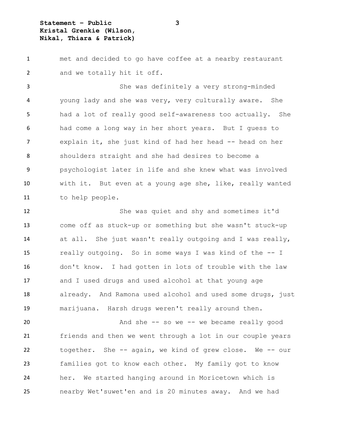**Statement – Public 3 Kristal Grenkie (Wilson, Nikal, Thiara & Patrick)**

 met and decided to go have coffee at a nearby restaurant and we totally hit it off.

 She was definitely a very strong-minded young lady and she was very, very culturally aware. She had a lot of really good self-awareness too actually. She had come a long way in her short years. But I guess to 7 explain it, she just kind of had her head -- head on her shoulders straight and she had desires to become a psychologist later in life and she knew what was involved with it. But even at a young age she, like, really wanted to help people.

 She was quiet and shy and sometimes it'd come off as stuck-up or something but she wasn't stuck-up at all. She just wasn't really outgoing and I was really, really outgoing. So in some ways I was kind of the -- I don't know. I had gotten in lots of trouble with the law and I used drugs and used alcohol at that young age 18 already. And Ramona used alcohol and used some drugs, just marijuana. Harsh drugs weren't really around then.

 And she -- so we -- we became really good friends and then we went through a lot in our couple years together. She -- again, we kind of grew close. We -- our families got to know each other. My family got to know her. We started hanging around in Moricetown which is nearby Wet'suwet'en and is 20 minutes away. And we had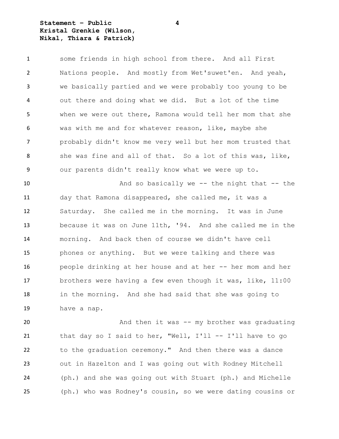**Statement – Public 4 Kristal Grenkie (Wilson, Nikal, Thiara & Patrick)**

| 1  | some friends in high school from there. And all First      |
|----|------------------------------------------------------------|
| 2  | Nations people. And mostly from Wet'suwet'en. And yeah,    |
| 3  | we basically partied and we were probably too young to be  |
| 4  | out there and doing what we did. But a lot of the time     |
| 5. | when we were out there, Ramona would tell her mom that she |
| 6  | was with me and for whatever reason, like, maybe she       |
| 7  | probably didn't know me very well but her mom trusted that |
| 8  | she was fine and all of that. So a lot of this was, like,  |
| 9  | our parents didn't really know what we were up to.         |
| 10 | And so basically we $-$ the night that $-$ the             |
| 11 | day that Ramona disappeared, she called me, it was a       |
| 12 | Saturday. She called me in the morning. It was in June     |
| 13 | because it was on June 11th, '94. And she called me in the |
| 14 | morning. And back then of course we didn't have cell       |
| 15 | phones or anything. But we were talking and there was      |
| 16 | people drinking at her house and at her -- her mom and her |
| 17 | brothers were having a few even though it was, like, 11:00 |
| 18 | in the morning. And she had said that she was going to     |
| 19 | have a nap.                                                |
| 20 | And then it was -- my brother was graduating               |

 that day so I said to her, "Well, I'll -- I'll have to go to the graduation ceremony." And then there was a dance out in Hazelton and I was going out with Rodney Mitchell (ph.) and she was going out with Stuart (ph.) and Michelle (ph.) who was Rodney's cousin, so we were dating cousins or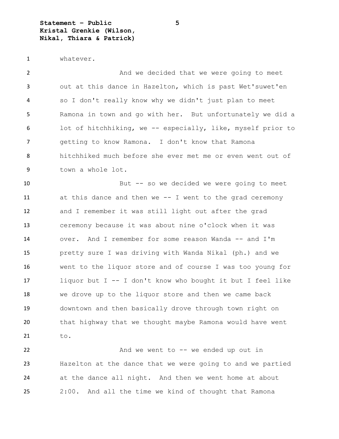**Statement – Public 5 Kristal Grenkie (Wilson, Nikal, Thiara & Patrick)**

whatever.

2 And we decided that we were going to meet out at this dance in Hazelton, which is past Wet'suwet'en so I don't really know why we didn't just plan to meet Ramona in town and go with her. But unfortunately we did a lot of hitchhiking, we -- especially, like, myself prior to getting to know Ramona. I don't know that Ramona hitchhiked much before she ever met me or even went out of town a whole lot. But -- so we decided we were going to meet at this dance and then we -- I went to the grad ceremony and I remember it was still light out after the grad ceremony because it was about nine o'clock when it was over. And I remember for some reason Wanda -- and I'm pretty sure I was driving with Wanda Nikal (ph.) and we went to the liquor store and of course I was too young for liquor but I -- I don't know who bought it but I feel like we drove up to the liquor store and then we came back downtown and then basically drove through town right on that highway that we thought maybe Ramona would have went to.

22 And we went to -- we ended up out in Hazelton at the dance that we were going to and we partied at the dance all night. And then we went home at about 2:00. And all the time we kind of thought that Ramona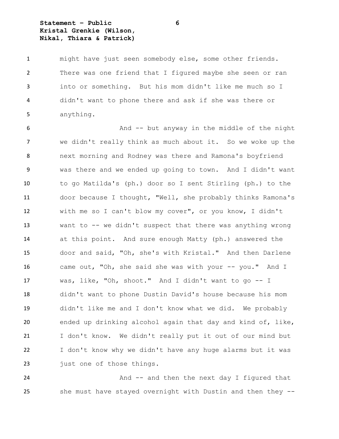**Statement – Public 6 Kristal Grenkie (Wilson, Nikal, Thiara & Patrick)**

 might have just seen somebody else, some other friends. There was one friend that I figured maybe she seen or ran into or something. But his mom didn't like me much so I didn't want to phone there and ask if she was there or anything.

 And -- but anyway in the middle of the night we didn't really think as much about it. So we woke up the next morning and Rodney was there and Ramona's boyfriend was there and we ended up going to town. And I didn't want to go Matilda's (ph.) door so I sent Stirling (ph.) to the door because I thought, "Well, she probably thinks Ramona's with me so I can't blow my cover", or you know, I didn't want to -- we didn't suspect that there was anything wrong at this point. And sure enough Matty (ph.) answered the door and said, "Oh, she's with Kristal." And then Darlene came out, "Oh, she said she was with your -- you." And I was, like, "Oh, shoot." And I didn't want to go -- I didn't want to phone Dustin David's house because his mom didn't like me and I don't know what we did. We probably ended up drinking alcohol again that day and kind of, like, I don't know. We didn't really put it out of our mind but I don't know why we didn't have any huge alarms but it was 23 just one of those things.

24 And -- and then the next day I figured that she must have stayed overnight with Dustin and then they --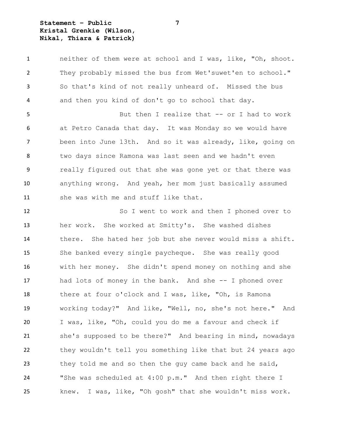**Statement – Public 7 Kristal Grenkie (Wilson, Nikal, Thiara & Patrick)**

 neither of them were at school and I was, like, "Oh, shoot. They probably missed the bus from Wet'suwet'en to school." So that's kind of not really unheard of. Missed the bus and then you kind of don't go to school that day.

5 But then I realize that -- or I had to work at Petro Canada that day. It was Monday so we would have been into June 13th. And so it was already, like, going on two days since Ramona was last seen and we hadn't even really figured out that she was gone yet or that there was anything wrong. And yeah, her mom just basically assumed 11 she was with me and stuff like that.

 So I went to work and then I phoned over to her work. She worked at Smitty's. She washed dishes there. She hated her job but she never would miss a shift. She banked every single paycheque. She was really good with her money. She didn't spend money on nothing and she had lots of money in the bank. And she -- I phoned over there at four o'clock and I was, like, "Oh, is Ramona working today?" And like, "Well, no, she's not here." And I was, like, "Oh, could you do me a favour and check if she's supposed to be there?" And bearing in mind, nowadays they wouldn't tell you something like that but 24 years ago they told me and so then the guy came back and he said, "She was scheduled at 4:00 p.m." And then right there I knew. I was, like, "Oh gosh" that she wouldn't miss work.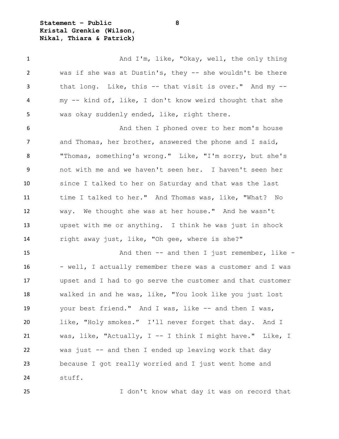**Statement – Public 8 Kristal Grenkie (Wilson, Nikal, Thiara & Patrick)**

1 And I'm, like, "Okay, well, the only thing was if she was at Dustin's, they -- she wouldn't be there that long. Like, this -- that visit is over." And my -- my -- kind of, like, I don't know weird thought that she was okay suddenly ended, like, right there. And then I phoned over to her mom's house and Thomas, her brother, answered the phone and I said, "Thomas, something's wrong." Like, "I'm sorry, but she's not with me and we haven't seen her. I haven't seen her since I talked to her on Saturday and that was the last time I talked to her." And Thomas was, like, "What? No way. We thought she was at her house." And he wasn't upset with me or anything. I think he was just in shock right away just, like, "Oh gee, where is she?"

15 And then -- and then I just remember, like -16 - well, I actually remember there was a customer and I was upset and I had to go serve the customer and that customer walked in and he was, like, "You look like you just lost your best friend." And I was, like -- and then I was, like, "Holy smokes." I'll never forget that day. And I was, like, "Actually, I -- I think I might have." Like, I was just -- and then I ended up leaving work that day because I got really worried and I just went home and stuff.

I don't know what day it was on record that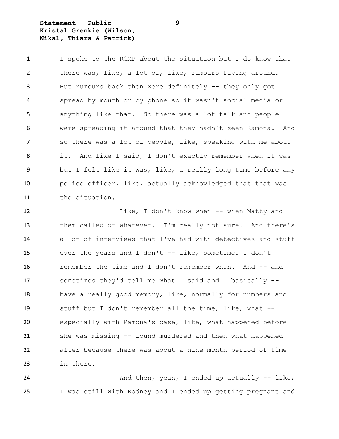**Statement – Public 9 Kristal Grenkie (Wilson, Nikal, Thiara & Patrick)**

 I spoke to the RCMP about the situation but I do know that there was, like, a lot of, like, rumours flying around. But rumours back then were definitely -- they only got spread by mouth or by phone so it wasn't social media or anything like that. So there was a lot talk and people were spreading it around that they hadn't seen Ramona. And so there was a lot of people, like, speaking with me about it. And like I said, I don't exactly remember when it was but I felt like it was, like, a really long time before any police officer, like, actually acknowledged that that was the situation.

12 Like, I don't know when -- when Matty and them called or whatever. I'm really not sure. And there's a lot of interviews that I've had with detectives and stuff over the years and I don't -- like, sometimes I don't remember the time and I don't remember when. And -- and sometimes they'd tell me what I said and I basically -- I have a really good memory, like, normally for numbers and stuff but I don't remember all the time, like, what -- especially with Ramona's case, like, what happened before she was missing -- found murdered and then what happened after because there was about a nine month period of time in there.

24 And then, yeah, I ended up actually -- like, I was still with Rodney and I ended up getting pregnant and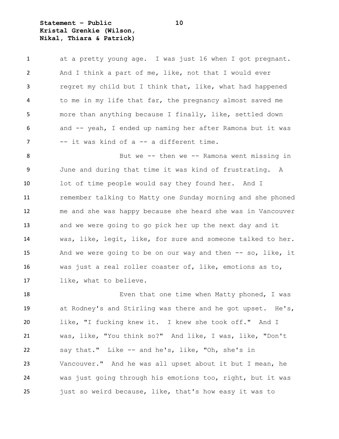**Statement – Public 10 Kristal Grenkie (Wilson, Nikal, Thiara & Patrick)**

| $\mathbf{1}$ | at a pretty young age. I was just 16 when I got pregnant.     |
|--------------|---------------------------------------------------------------|
| 2            | And I think a part of me, like, not that I would ever         |
| 3            | regret my child but I think that, like, what had happened     |
| 4            | to me in my life that far, the pregnancy almost saved me      |
| 5            | more than anything because I finally, like, settled down      |
| 6            | and -- yeah, I ended up naming her after Ramona but it was    |
| 7            | -- it was kind of a -- a different time.                      |
| 8            | But we -- then we -- Ramona went missing in                   |
| 9            | June and during that time it was kind of frustrating. A       |
| 10           | lot of time people would say they found her. And I            |
| 11           | remember talking to Matty one Sunday morning and she phoned   |
| 12           | me and she was happy because she heard she was in Vancouver   |
| 13           | and we were going to go pick her up the next day and it       |
| 14           | was, like, legit, like, for sure and someone talked to her.   |
| 15           | And we were going to be on our way and then $--$ so, like, it |
| 16           | was just a real roller coaster of, like, emotions as to,      |
| 17           | like, what to believe.                                        |
| 18           | Even that one time when Matty phoned, I was                   |

 at Rodney's and Stirling was there and he got upset. He's, like, "I fucking knew it. I knew she took off." And I was, like, "You think so?" And like, I was, like, "Don't say that." Like -- and he's, like, "Oh, she's in Vancouver." And he was all upset about it but I mean, he was just going through his emotions too, right, but it was just so weird because, like, that's how easy it was to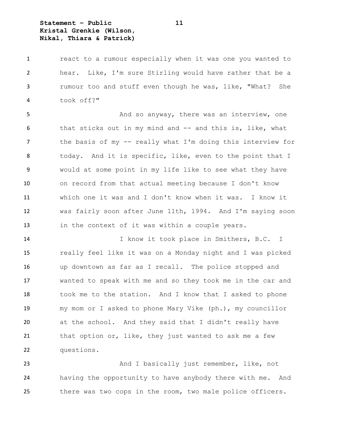**Statement – Public 11 Kristal Grenkie (Wilson, Nikal, Thiara & Patrick)**

 react to a rumour especially when it was one you wanted to hear. Like, I'm sure Stirling would have rather that be a rumour too and stuff even though he was, like, "What? She took off?"

5 And so anyway, there was an interview, one that sticks out in my mind and -- and this is, like, what the basis of my -- really what I'm doing this interview for today. And it is specific, like, even to the point that I would at some point in my life like to see what they have on record from that actual meeting because I don't know which one it was and I don't know when it was. I know it was fairly soon after June 11th, 1994. And I'm saying soon in the context of it was within a couple years.

 I know it took place in Smithers, B.C. I really feel like it was on a Monday night and I was picked up downtown as far as I recall. The police stopped and wanted to speak with me and so they took me in the car and took me to the station. And I know that I asked to phone my mom or I asked to phone Mary Vike (ph.), my councillor at the school. And they said that I didn't really have 21 that option or, like, they just wanted to ask me a few questions.

 And I basically just remember, like, not having the opportunity to have anybody there with me. And there was two cops in the room, two male police officers.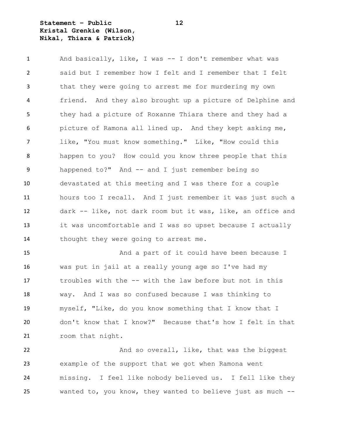**Statement – Public 12 Kristal Grenkie (Wilson, Nikal, Thiara & Patrick)**

 And basically, like, I was -- I don't remember what was said but I remember how I felt and I remember that I felt that they were going to arrest me for murdering my own friend. And they also brought up a picture of Delphine and they had a picture of Roxanne Thiara there and they had a picture of Ramona all lined up. And they kept asking me, like, "You must know something." Like, "How could this happen to you? How could you know three people that this happened to?" And -- and I just remember being so devastated at this meeting and I was there for a couple hours too I recall. And I just remember it was just such a dark -- like, not dark room but it was, like, an office and it was uncomfortable and I was so upset because I actually thought they were going to arrest me.

 And a part of it could have been because I was put in jail at a really young age so I've had my troubles with the -- with the law before but not in this way. And I was so confused because I was thinking to myself, "Like, do you know something that I know that I don't know that I know?" Because that's how I felt in that 21 room that night.

22 And so overall, like, that was the biggest example of the support that we got when Ramona went missing. I feel like nobody believed us. I fell like they wanted to, you know, they wanted to believe just as much --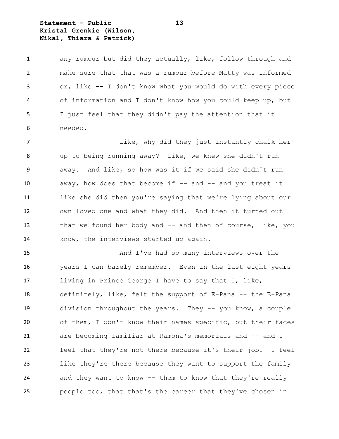**Statement – Public 13 Kristal Grenkie (Wilson, Nikal, Thiara & Patrick)**

 any rumour but did they actually, like, follow through and make sure that that was a rumour before Matty was informed or, like -- I don't know what you would do with every piece of information and I don't know how you could keep up, but I just feel that they didn't pay the attention that it needed.

**Like, why did they just instantly chalk her**  up to being running away? Like, we knew she didn't run away. And like, so how was it if we said she didn't run 10 away, how does that become if -- and -- and you treat it like she did then you're saying that we're lying about our own loved one and what they did. And then it turned out 13 that we found her body and -- and then of course, like, you know, the interviews started up again.

 And I've had so many interviews over the years I can barely remember. Even in the last eight years living in Prince George I have to say that I, like, definitely, like, felt the support of E-Pana -- the E-Pana division throughout the years. They -- you know, a couple of them, I don't know their names specific, but their faces are becoming familiar at Ramona's memorials and -- and I feel that they're not there because it's their job. I feel like they're there because they want to support the family and they want to know -- them to know that they're really people too, that that's the career that they've chosen in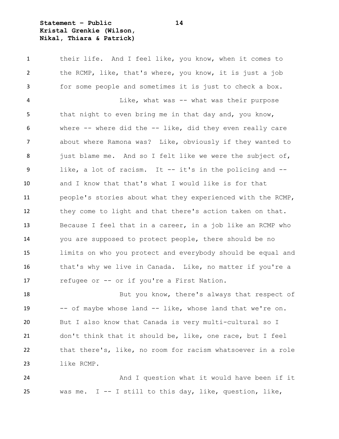## **Statement – Public 14 Kristal Grenkie (Wilson, Nikal, Thiara & Patrick)**

 their life. And I feel like, you know, when it comes to the RCMP, like, that's where, you know, it is just a job for some people and sometimes it is just to check a box. Like, what was -- what was their purpose that night to even bring me in that day and, you know, where -- where did the -- like, did they even really care about where Ramona was? Like, obviously if they wanted to 8 just blame me. And so I felt like we were the subject of, like, a lot of racism. It -- it's in the policing and -- and I know that that's what I would like is for that people's stories about what they experienced with the RCMP, they come to light and that there's action taken on that. Because I feel that in a career, in a job like an RCMP who you are supposed to protect people, there should be no limits on who you protect and everybody should be equal and 16 that's why we live in Canada. Like, no matter if you're a 17 refugee or -- or if you're a First Nation.

18 But you know, there's always that respect of 19 -- of maybe whose land -- like, whose land that we're on. But I also know that Canada is very multi-cultural so I don't think that it should be, like, one race, but I feel that there's, like, no room for racism whatsoever in a role like RCMP.

24 And I question what it would have been if it was me. I -- I still to this day, like, question, like,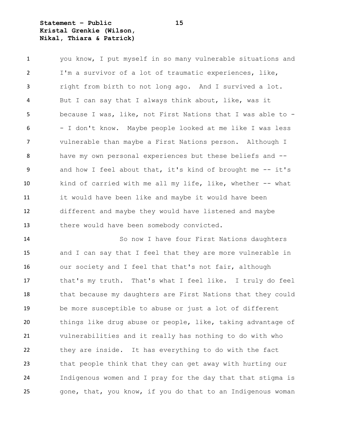**Statement – Public 15 Kristal Grenkie (Wilson, Nikal, Thiara & Patrick)**

 you know, I put myself in so many vulnerable situations and I'm a survivor of a lot of traumatic experiences, like, right from birth to not long ago. And I survived a lot. But I can say that I always think about, like, was it because I was, like, not First Nations that I was able to - - I don't know. Maybe people looked at me like I was less vulnerable than maybe a First Nations person. Although I have my own personal experiences but these beliefs and -- 9 and how I feel about that, it's kind of brought me -- it's kind of carried with me all my life, like, whether -- what it would have been like and maybe it would have been different and maybe they would have listened and maybe there would have been somebody convicted.

 So now I have four First Nations daughters and I can say that I feel that they are more vulnerable in 16 our society and I feel that that's not fair, although that's my truth. That's what I feel like. I truly do feel 18 that because my daughters are First Nations that they could be more susceptible to abuse or just a lot of different things like drug abuse or people, like, taking advantage of vulnerabilities and it really has nothing to do with who they are inside. It has everything to do with the fact that people think that they can get away with hurting our Indigenous women and I pray for the day that that stigma is gone, that, you know, if you do that to an Indigenous woman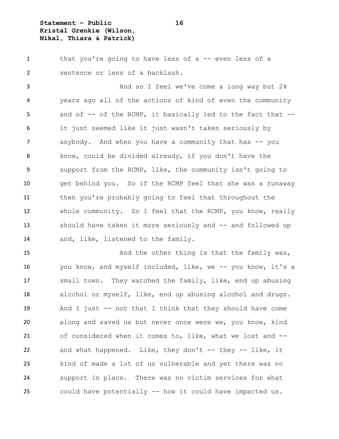**Statement – Public 16 Kristal Grenkie (Wilson, Nikal, Thiara & Patrick)**

 that you're going to have less of a -- even less of a sentence or less of a backlash.

 And so I feel we've come a long way but 24 years ago all of the actions of kind of even the community 5 and of -- of the RCMP, it basically led to the fact that -- it just seemed like it just wasn't taken seriously by 7 anybody. And when you have a community that has -- you know, could be divided already, if you don't have the support from the RCMP, like, the community isn't going to get behind you. So if the RCMP feel that she was a runaway then you're probably going to feel that throughout the whole community. So I feel that the RCMP, you know, really should have taken it more seriously and -- and followed up 14 and, like, listened to the family.

15 And the other thing is that the family was, you know, and myself included, like, we -- you know, it's a small town. They watched the family, like, end up abusing alcohol or myself, like, end up abusing alcohol and drugs. And I just -- not that I think that they should have come along and saved us but never once were we, you know, kind of considered when it comes to, like, what we lost and -- and what happened. Like, they don't -- they -- like, it kind of made a lot of us vulnerable and yet there was no support in place. There was no victim services for what could have potentially -- how it could have impacted us.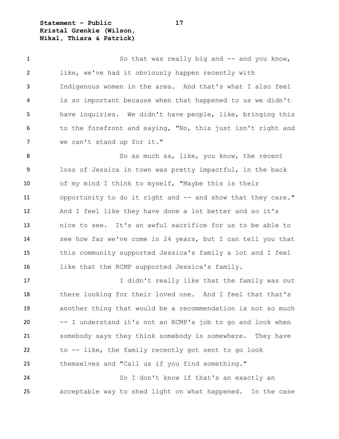**Statement – Public 17 Kristal Grenkie (Wilson, Nikal, Thiara & Patrick)**

1 So that was really big and -- and you know, like, we've had it obviously happen recently with Indigenous women in the area. And that's what I also feel is so important because when that happened to us we didn't have inquiries. We didn't have people, like, bringing this to the forefront and saying, "No, this just isn't right and we can't stand up for it." 8 So as much as, like, you know, the recent

 loss of Jessica in town was pretty impactful, in the back of my mind I think to myself, "Maybe this is their opportunity to do it right and -- and show that they care." And I feel like they have done a lot better and so it's nice to see. It's an awful sacrifice for us to be able to see how far we've come in 24 years, but I can tell you that this community supported Jessica's family a lot and I feel like that the RCMP supported Jessica's family.

17 10 I didn't really like that the family was out there looking for their loved one. And I feel that that's another thing that would be a recommendation is not so much -- I understand it's not an RCMP's job to go and look when somebody says they think somebody is somewhere. They have to -- like, the family recently got sent to go look themselves and "Call us if you find something."

 So I don't know if that's an exactly an acceptable way to shed light on what happened. In the case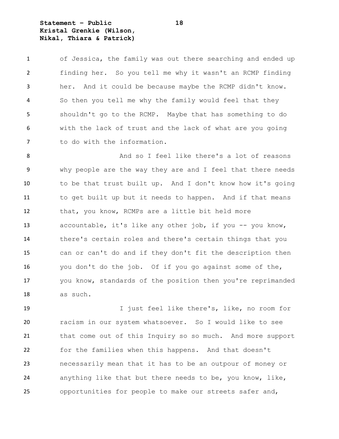**Statement – Public 18 Kristal Grenkie (Wilson, Nikal, Thiara & Patrick)**

| 1              | of Jessica, the family was out there searching and ended up |
|----------------|-------------------------------------------------------------|
| $\overline{2}$ | finding her. So you tell me why it wasn't an RCMP finding   |
| 3              | her. And it could be because maybe the RCMP didn't know.    |
| $\overline{4}$ | So then you tell me why the family would feel that they     |
| 5              | shouldn't go to the RCMP. Maybe that has something to do    |
| 6              | with the lack of trust and the lack of what are you going   |
| 7              | to do with the information.                                 |

8 And so I feel like there's a lot of reasons why people are the way they are and I feel that there needs to be that trust built up. And I don't know how it's going to get built up but it needs to happen. And if that means that, you know, RCMPs are a little bit held more 13 accountable, it's like any other job, if you -- you know, there's certain roles and there's certain things that you can or can't do and if they don't fit the description then you don't do the job. Of if you go against some of the, 17 you know, standards of the position then you're reprimanded as such.

 I just feel like there's, like, no room for racism in our system whatsoever. So I would like to see that come out of this Inquiry so so much. And more support for the families when this happens. And that doesn't necessarily mean that it has to be an outpour of money or anything like that but there needs to be, you know, like, opportunities for people to make our streets safer and,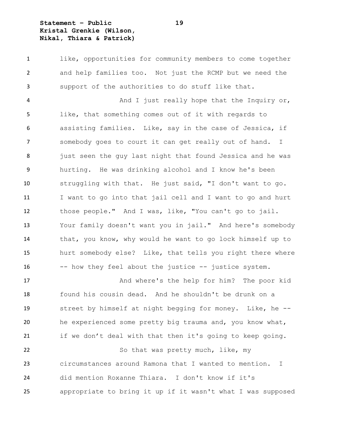**Statement – Public 19 Kristal Grenkie (Wilson, Nikal, Thiara & Patrick)**

 like, opportunities for community members to come together and help families too. Not just the RCMP but we need the support of the authorities to do stuff like that.

4 And I just really hope that the Inquiry or, like, that something comes out of it with regards to assisting families. Like, say in the case of Jessica, if somebody goes to court it can get really out of hand. I 8 just seen the guy last night that found Jessica and he was hurting. He was drinking alcohol and I know he's been struggling with that. He just said, "I don't want to go. I want to go into that jail cell and I want to go and hurt those people." And I was, like, "You can't go to jail. Your family doesn't want you in jail." And here's somebody that, you know, why would he want to go lock himself up to hurt somebody else? Like, that tells you right there where 16 -- how they feel about the justice -- justice system.

 And where's the help for him? The poor kid found his cousin dead. And he shouldn't be drunk on a street by himself at night begging for money. Like, he -- he experienced some pretty big trauma and, you know what, if we don't deal with that then it's going to keep going. 22 So that was pretty much, like, my circumstances around Ramona that I wanted to mention. I did mention Roxanne Thiara. I don't know if it's appropriate to bring it up if it wasn't what I was supposed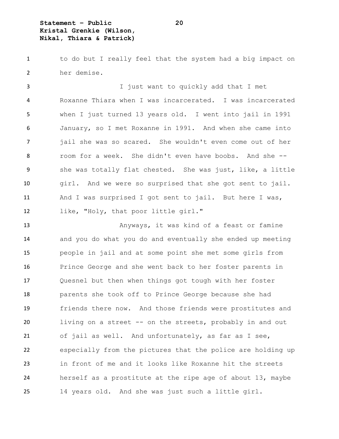**Statement – Public 20 Kristal Grenkie (Wilson, Nikal, Thiara & Patrick)**

1 to do but I really feel that the system had a big impact on her demise.

 I just want to quickly add that I met Roxanne Thiara when I was incarcerated. I was incarcerated when I just turned 13 years old. I went into jail in 1991 January, so I met Roxanne in 1991. And when she came into jail she was so scared. She wouldn't even come out of her room for a week. She didn't even have boobs. And she -- she was totally flat chested. She was just, like, a little girl. And we were so surprised that she got sent to jail. And I was surprised I got sent to jail. But here I was, like, "Holy, that poor little girl."

 Anyways, it was kind of a feast or famine and you do what you do and eventually she ended up meeting people in jail and at some point she met some girls from Prince George and she went back to her foster parents in Quesnel but then when things got tough with her foster parents she took off to Prince George because she had friends there now. And those friends were prostitutes and living on a street -- on the streets, probably in and out of jail as well. And unfortunately, as far as I see, especially from the pictures that the police are holding up in front of me and it looks like Roxanne hit the streets herself as a prostitute at the ripe age of about 13, maybe 14 years old. And she was just such a little girl.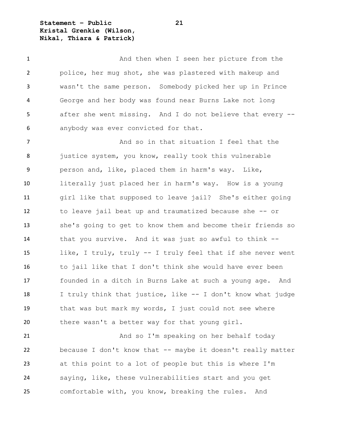**Statement – Public 21 Kristal Grenkie (Wilson, Nikal, Thiara & Patrick)**

 And then when I seen her picture from the police, her mug shot, she was plastered with makeup and wasn't the same person. Somebody picked her up in Prince George and her body was found near Burns Lake not long after she went missing. And I do not believe that every -- anybody was ever convicted for that.

**And so in that situation** I feel that the 8 justice system, you know, really took this vulnerable person and, like, placed them in harm's way. Like, literally just placed her in harm's way. How is a young girl like that supposed to leave jail? She's either going to leave jail beat up and traumatized because she -- or she's going to get to know them and become their friends so that you survive. And it was just so awful to think -- like, I truly, truly -- I truly feel that if she never went to jail like that I don't think she would have ever been founded in a ditch in Burns Lake at such a young age. And I truly think that justice, like -- I don't know what judge that was but mark my words, I just could not see where there wasn't a better way for that young girl.

 And so I'm speaking on her behalf today because I don't know that -- maybe it doesn't really matter at this point to a lot of people but this is where I'm saying, like, these vulnerabilities start and you get comfortable with, you know, breaking the rules. And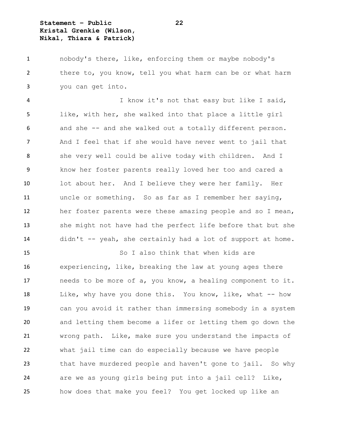**Statement – Public 22 Kristal Grenkie (Wilson, Nikal, Thiara & Patrick)**

 nobody's there, like, enforcing them or maybe nobody's there to, you know, tell you what harm can be or what harm you can get into.

 I know it's not that easy but like I said, like, with her, she walked into that place a little girl and she -- and she walked out a totally different person. And I feel that if she would have never went to jail that she very well could be alive today with children. And I know her foster parents really loved her too and cared a lot about her. And I believe they were her family. Her uncle or something. So as far as I remember her saying, her foster parents were these amazing people and so I mean, she might not have had the perfect life before that but she didn't -- yeah, she certainly had a lot of support at home.

 So I also think that when kids are experiencing, like, breaking the law at young ages there 17 needs to be more of a, you know, a healing component to it. 18 Like, why have you done this. You know, like, what -- how can you avoid it rather than immersing somebody in a system and letting them become a lifer or letting them go down the wrong path. Like, make sure you understand the impacts of what jail time can do especially because we have people that have murdered people and haven't gone to jail. So why are we as young girls being put into a jail cell? Like, how does that make you feel? You get locked up like an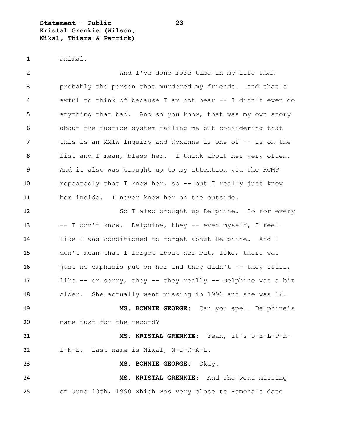**Statement – Public 23 Kristal Grenkie (Wilson, Nikal, Thiara & Patrick)**

```
1 animal.
```
2 And I've done more time in my life than probably the person that murdered my friends. And that's awful to think of because I am not near -- I didn't even do anything that bad. And so you know, that was my own story about the justice system failing me but considering that 7 this is an MMIW Inquiry and Roxanne is one of -- is on the list and I mean, bless her. I think about her very often. And it also was brought up to my attention via the RCMP repeatedly that I knew her, so -- but I really just knew her inside. I never knew her on the outside. 12 So I also brought up Delphine. So for every -- I don't know. Delphine, they -- even myself, I feel like I was conditioned to forget about Delphine. And I don't mean that I forgot about her but, like, there was 16 just no emphasis put on her and they didn't -- they still, like -- or sorry, they -- they really -- Delphine was a bit older. She actually went missing in 1990 and she was 16. **MS. BONNIE GEORGE:** Can you spell Delphine's name just for the record?

 **MS. KRISTAL GRENKIE:** Yeah, it's D-E-L-P-H-I-N-E. Last name is Nikal, N-I-K-A-L.

**MS. BONNIE GEORGE:** Okay.

 **MS. KRISTAL GRENKIE:** And she went missing on June 13th, 1990 which was very close to Ramona's date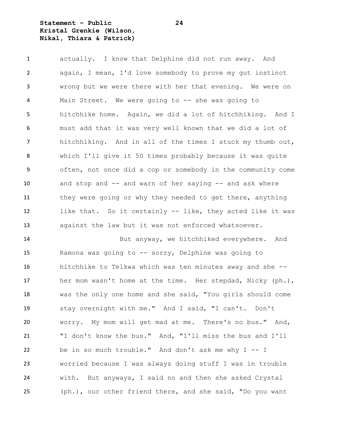**Statement – Public 24 Kristal Grenkie (Wilson, Nikal, Thiara & Patrick)**

 actually. I know that Delphine did not run away. And again, I mean, I'd love somebody to prove my gut instinct wrong but we were there with her that evening. We were on Main Street. We were going to -- she was going to hitchhike home. Again, we did a lot of hitchhiking. And I must add that it was very well known that we did a lot of hitchhiking. And in all of the times I stuck my thumb out, which I'll give it 50 times probably because it was quite often, not once did a cop or somebody in the community come and stop and -- and warn of her saying -- and ask where 11 they were going or why they needed to get there, anything like that. So it certainly -- like, they acted like it was against the law but it was not enforced whatsoever.

 But anyway, we hitchhiked everywhere. And Ramona was going to -- sorry, Delphine was going to hitchhike to Telkwa which was ten minutes away and she -- her mom wasn't home at the time. Her stepdad, Nicky (ph.), was the only one home and she said, "You girls should come stay overnight with me." And I said, "I can't. Don't worry. My mom will get mad at me. There's no bus." And, "I don't know the bus." And, "I'll miss the bus and I'll be in so much trouble." And don't ask me why I -- I worried because I was always doing stuff I was in trouble with. But anyways, I said no and then she asked Crystal (ph.), our other friend there, and she said, "Do you want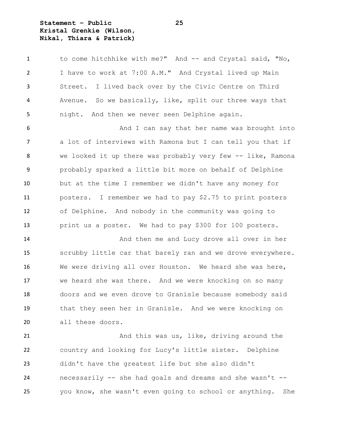**Statement – Public 25 Kristal Grenkie (Wilson, Nikal, Thiara & Patrick)**

| 1  | to come hitchhike with me?" And -- and Crystal said, "No,   |
|----|-------------------------------------------------------------|
| 2  | I have to work at 7:00 A.M." And Crystal lived up Main      |
| 3  | I lived back over by the Civic Centre on Third<br>Street.   |
| 4  | Avenue. So we basically, like, split our three ways that    |
| 5  | night. And then we never seen Delphine again.               |
| 6  | And I can say that her name was brought into                |
| 7  | a lot of interviews with Ramona but I can tell you that if  |
| 8  | we looked it up there was probably very few -- like, Ramona |
| 9  | probably sparked a little bit more on behalf of Delphine    |
| 10 | but at the time I remember we didn't have any money for     |
| 11 | posters. I remember we had to pay \$2.75 to print posters   |
| 12 | of Delphine. And nobody in the community was going to       |
| 13 | print us a poster. We had to pay \$300 for 100 posters.     |
| 14 | And then me and Lucy drove all over in her                  |
| 15 | scrubby little car that barely ran and we drove everywhere. |
| 16 | We were driving all over Houston. We heard she was here,    |
| 17 | we heard she was there. And we were knocking on so many     |
| 18 | doors and we even drove to Granisle because somebody said   |
| 19 | that they seen her in Granisle. And we were knocking on     |
| 20 | all these doors.                                            |
| 21 | And this was us, like, driving around the                   |

 country and looking for Lucy's little sister. Delphine didn't have the greatest life but she also didn't necessarily -- she had goals and dreams and she wasn't -- you know, she wasn't even going to school or anything. She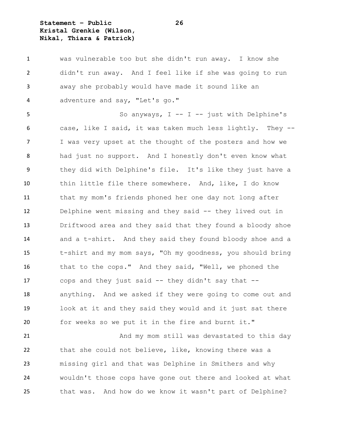**Statement – Public 26 Kristal Grenkie (Wilson, Nikal, Thiara & Patrick)**

 was vulnerable too but she didn't run away. I know she didn't run away. And I feel like if she was going to run away she probably would have made it sound like an adventure and say, "Let's go."

 So anyways, I -- I -- just with Delphine's case, like I said, it was taken much less lightly. They -- I was very upset at the thought of the posters and how we had just no support. And I honestly don't even know what they did with Delphine's file. It's like they just have a thin little file there somewhere. And, like, I do know that my mom's friends phoned her one day not long after Delphine went missing and they said -- they lived out in Driftwood area and they said that they found a bloody shoe and a t-shirt. And they said they found bloody shoe and a t-shirt and my mom says, "Oh my goodness, you should bring that to the cops." And they said, "Well, we phoned the cops and they just said -- they didn't say that -- anything. And we asked if they were going to come out and look at it and they said they would and it just sat there for weeks so we put it in the fire and burnt it."

21 And my mom still was devastated to this day that she could not believe, like, knowing there was a missing girl and that was Delphine in Smithers and why wouldn't those cops have gone out there and looked at what that was. And how do we know it wasn't part of Delphine?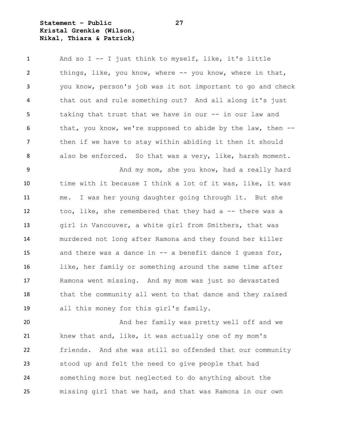**Statement – Public 27 Kristal Grenkie (Wilson, Nikal, Thiara & Patrick)**

 And so I -- I just think to myself, like, it's little things, like, you know, where -- you know, where in that, you know, person's job was it not important to go and check that out and rule something out? And all along it's just taking that trust that we have in our -- in our law and 6 that, you know, we're supposed to abide by the law, then -- then if we have to stay within abiding it then it should also be enforced. So that was a very, like, harsh moment.

9 And my mom, she you know, had a really hard time with it because I think a lot of it was, like, it was me. I was her young daughter going through it. But she too, like, she remembered that they had a -- there was a girl in Vancouver, a white girl from Smithers, that was murdered not long after Ramona and they found her killer and there was a dance in -- a benefit dance I guess for, like, her family or something around the same time after Ramona went missing. And my mom was just so devastated 18 that the community all went to that dance and they raised all this money for this girl's family.

 And her family was pretty well off and we 21 knew that and, like, it was actually one of my mom's friends. And she was still so offended that our community stood up and felt the need to give people that had something more but neglected to do anything about the missing girl that we had, and that was Ramona in our own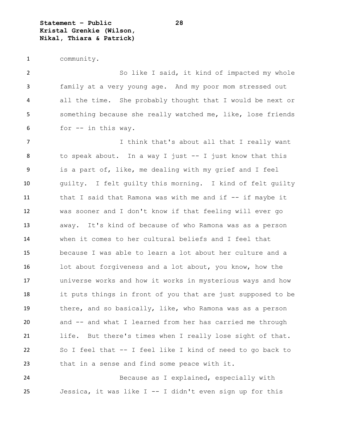**Statement – Public 28 Kristal Grenkie (Wilson, Nikal, Thiara & Patrick)**

community.

2 So like I said, it kind of impacted my whole family at a very young age. And my poor mom stressed out all the time. She probably thought that I would be next or something because she really watched me, like, lose friends for -- in this way.

7 Think that's about all that I really want 8 to speak about. In a way I just -- I just know that this is a part of, like, me dealing with my grief and I feel guilty. I felt guilty this morning. I kind of felt guilty that I said that Ramona was with me and if -- if maybe it was sooner and I don't know if that feeling will ever go away. It's kind of because of who Ramona was as a person when it comes to her cultural beliefs and I feel that because I was able to learn a lot about her culture and a lot about forgiveness and a lot about, you know, how the universe works and how it works in mysterious ways and how it puts things in front of you that are just supposed to be there, and so basically, like, who Ramona was as a person and -- and what I learned from her has carried me through life. But there's times when I really lose sight of that. So I feel that -- I feel like I kind of need to go back to that in a sense and find some peace with it.

 Because as I explained, especially with Jessica, it was like I -- I didn't even sign up for this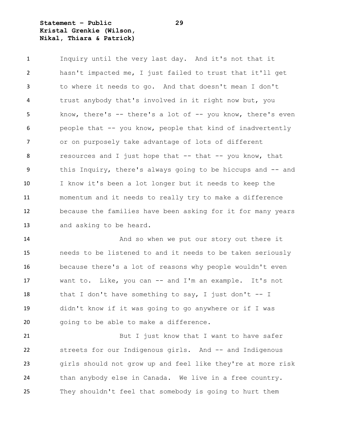**Statement – Public 29 Kristal Grenkie (Wilson, Nikal, Thiara & Patrick)**

 Inquiry until the very last day. And it's not that it hasn't impacted me, I just failed to trust that it'll get to where it needs to go. And that doesn't mean I don't trust anybody that's involved in it right now but, you know, there's -- there's a lot of -- you know, there's even people that -- you know, people that kind of inadvertently or on purposely take advantage of lots of different resources and I just hope that -- that -- you know, that this Inquiry, there's always going to be hiccups and -- and I know it's been a lot longer but it needs to keep the momentum and it needs to really try to make a difference because the families have been asking for it for many years and asking to be heard.

14 And so when we put our story out there it needs to be listened to and it needs to be taken seriously because there's a lot of reasons why people wouldn't even want to. Like, you can -- and I'm an example. It's not 18 that I don't have something to say, I just don't  $-$  I didn't know if it was going to go anywhere or if I was going to be able to make a difference.

21 But I just know that I want to have safer streets for our Indigenous girls. And -- and Indigenous girls should not grow up and feel like they're at more risk than anybody else in Canada. We live in a free country. They shouldn't feel that somebody is going to hurt them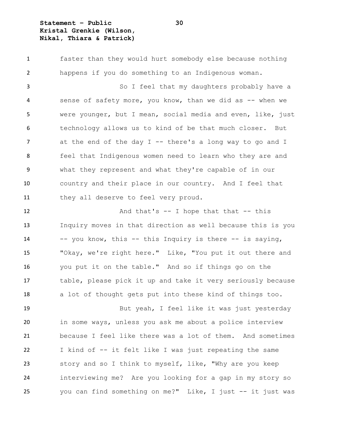**Statement – Public 30 Kristal Grenkie (Wilson, Nikal, Thiara & Patrick)**

 faster than they would hurt somebody else because nothing happens if you do something to an Indigenous woman. So I feel that my daughters probably have a 4 sense of safety more, you know, than we did as -- when we were younger, but I mean, social media and even, like, just technology allows us to kind of be that much closer. But 7 at the end of the day I -- there's a long way to go and I feel that Indigenous women need to learn who they are and what they represent and what they're capable of in our country and their place in our country. And I feel that they all deserve to feel very proud.

12 And that's -- I hope that that -- this Inquiry moves in that direction as well because this is you -- you know, this -- this Inquiry is there -- is saying, "Okay, we're right here." Like, "You put it out there and you put it on the table." And so if things go on the table, please pick it up and take it very seriously because a lot of thought gets put into these kind of things too.

 But yeah, I feel like it was just yesterday in some ways, unless you ask me about a police interview because I feel like there was a lot of them. And sometimes I kind of -- it felt like I was just repeating the same story and so I think to myself, like, "Why are you keep interviewing me? Are you looking for a gap in my story so you can find something on me?" Like, I just -- it just was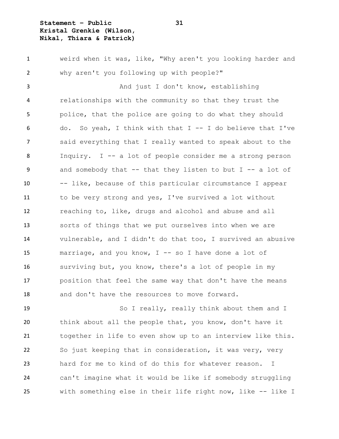**Statement – Public 31 Kristal Grenkie (Wilson, Nikal, Thiara & Patrick)**

 weird when it was, like, "Why aren't you looking harder and why aren't you following up with people?" 3 And just I don't know, establishing relationships with the community so that they trust the police, that the police are going to do what they should do. So yeah, I think with that I -- I do believe that I've said everything that I really wanted to speak about to the Inquiry. I -- a lot of people consider me a strong person and somebody that -- that they listen to but I -- a lot of -- like, because of this particular circumstance I appear to be very strong and yes, I've survived a lot without reaching to, like, drugs and alcohol and abuse and all sorts of things that we put ourselves into when we are vulnerable, and I didn't do that too, I survived an abusive marriage, and you know, I -- so I have done a lot of surviving but, you know, there's a lot of people in my position that feel the same way that don't have the means and don't have the resources to move forward.

 So I really, really think about them and I think about all the people that, you know, don't have it together in life to even show up to an interview like this. So just keeping that in consideration, it was very, very hard for me to kind of do this for whatever reason. I can't imagine what it would be like if somebody struggling with something else in their life right now, like -- like I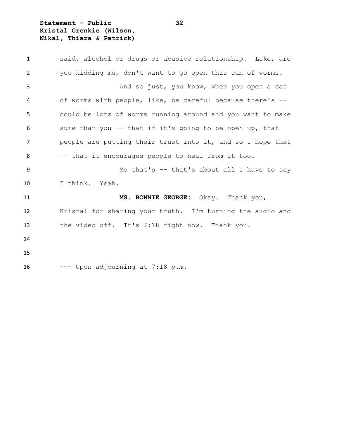**Statement – Public 32 Kristal Grenkie (Wilson, Nikal, Thiara & Patrick)**

| $\mathbf{1}$ | said, alcohol or drugs or abusive relationship. Like, are  |
|--------------|------------------------------------------------------------|
| 2            | you kidding me, don't want to go open this can of worms.   |
| 3            | And so just, you know, when you open a can                 |
| 4            | of worms with people, like, be careful because there's --  |
| 5            | could be lots of worms running around and you want to make |
| 6            | sure that you -- that if it's going to be open up, that    |
| 7            | people are putting their trust into it, and so I hope that |
| 8            | -- that it encourages people to heal from it too.          |
| 9            | So that's $-$ that's about all I have to say               |
| 10           | I think. Yeah.                                             |
| 11           | MS. BONNIE GEORGE: Okay. Thank you,                        |
| 12           | Kristal for sharing your truth. I'm turning the audio and  |
| 13           | the video off. It's 7:18 right now. Thank you.             |
| 14           |                                                            |
| 15           |                                                            |
| 16           | --- Upon adjourning at 7:18 p.m.                           |